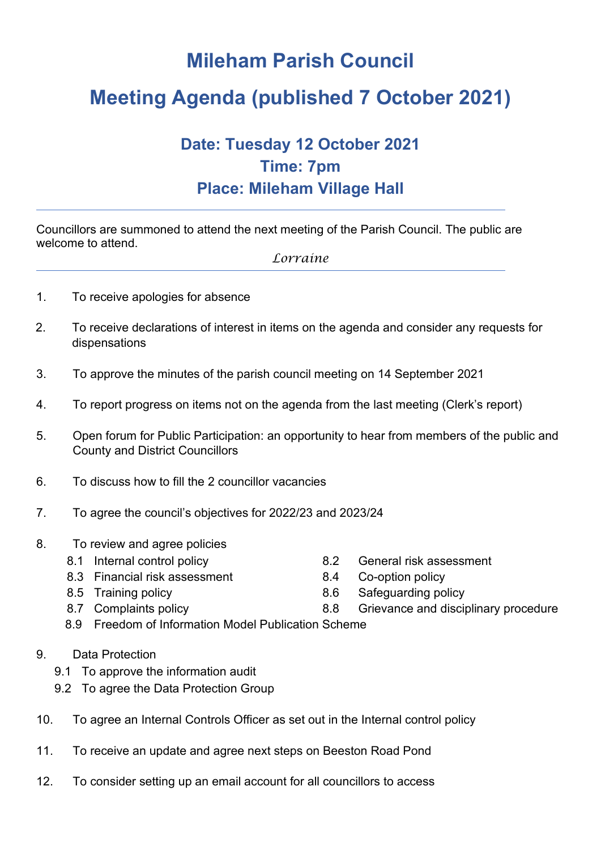## **Mileham Parish Council**

# **Meeting Agenda (published 7 October 2021)**

### **Date: Tuesday 12 October 2021 Time: 7pm Place: Mileham Village Hall**

Councillors are summoned to attend the next meeting of the Parish Council. The public are welcome to attend.

*Lorraine*

- 1. To receive apologies for absence
- 2. To receive declarations of interest in items on the agenda and consider any requests for dispensations
- 3. To approve the minutes of the parish council meeting on 14 September 2021
- 4. To report progress on items not on the agenda from the last meeting (Clerk's report)
- 5. Open forum for Public Participation: an opportunity to hear from members of the public and County and District Councillors
- 6. To discuss how to fill the 2 councillor vacancies
- 7. To agree the council's objectives for 2022/23 and 2023/24
- 8. To review and agree policies
	-
	- 8.3 Financial risk assessment 8.4 Co-option policy
	-
	-
	- 8.1 Internal control policy 8.2 General risk assessment
		-
	- 8.5 Training policy 8.6 Safeguarding policy
	- 8.7 Complaints policy 8.8 Grievance and disciplinary procedure
	- 8.9 Freedom of Information Model Publication Scheme
- 9. Data Protection
	- 9.1 To approve the information audit
	- 9.2 To agree the Data Protection Group
- 10. To agree an Internal Controls Officer as set out in the Internal control policy
- 11. To receive an update and agree next steps on Beeston Road Pond
- 12. To consider setting up an email account for all councillors to access